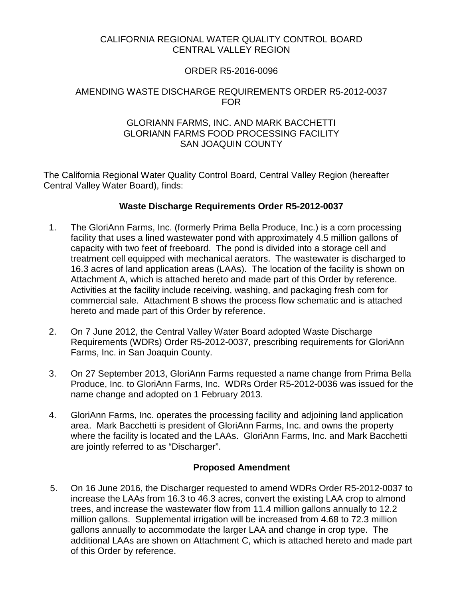## CALIFORNIA REGIONAL WATER QUALITY CONTROL BOARD CENTRAL VALLEY REGION

# ORDER R5-2016-0096

## AMENDING WASTE DISCHARGE REQUIREMENTS ORDER R5-2012-0037 FOR

#### GLORIANN FARMS, INC. AND MARK BACCHETTI GLORIANN FARMS FOOD PROCESSING FACILITY SAN JOAQUIN COUNTY

The California Regional Water Quality Control Board, Central Valley Region (hereafter Central Valley Water Board), finds:

## **Waste Discharge Requirements Order R5-2012-0037**

- 1. The GloriAnn Farms, Inc. (formerly Prima Bella Produce, Inc.) is a corn processing facility that uses a lined wastewater pond with approximately 4.5 million gallons of capacity with two feet of freeboard. The pond is divided into a storage cell and treatment cell equipped with mechanical aerators. The wastewater is discharged to 16.3 acres of land application areas (LAAs). The location of the facility is shown on Attachment A, which is attached hereto and made part of this Order by reference. Activities at the facility include receiving, washing, and packaging fresh corn for commercial sale. Attachment B shows the process flow schematic and is attached hereto and made part of this Order by reference.
- 2. On 7 June 2012, the Central Valley Water Board adopted Waste Discharge Requirements (WDRs) Order R5-2012-0037, prescribing requirements for GloriAnn Farms, Inc. in San Joaquin County.
- 3. On 27 September 2013, GloriAnn Farms requested a name change from Prima Bella Produce, Inc. to GloriAnn Farms, Inc. WDRs Order R5-2012-0036 was issued for the name change and adopted on 1 February 2013.
- 4. GloriAnn Farms, Inc. operates the processing facility and adjoining land application area. Mark Bacchetti is president of GloriAnn Farms, Inc. and owns the property where the facility is located and the LAAs. GloriAnn Farms, Inc. and Mark Bacchetti are jointly referred to as "Discharger".

## **Proposed Amendment**

5. On 16 June 2016, the Discharger requested to amend WDRs Order R5-2012-0037 to increase the LAAs from 16.3 to 46.3 acres, convert the existing LAA crop to almond trees, and increase the wastewater flow from 11.4 million gallons annually to 12.2 million gallons. Supplemental irrigation will be increased from 4.68 to 72.3 million gallons annually to accommodate the larger LAA and change in crop type. The additional LAAs are shown on Attachment C, which is attached hereto and made part of this Order by reference.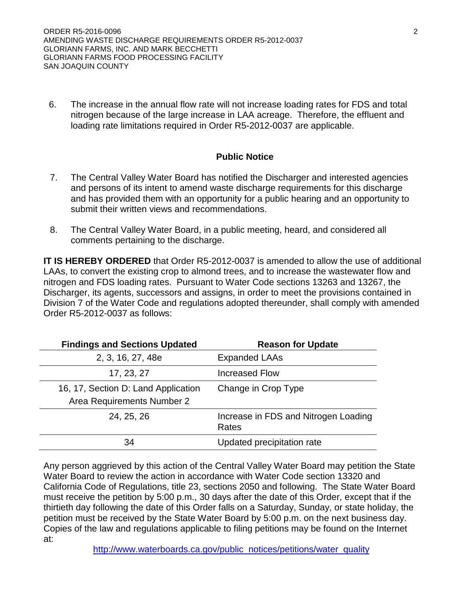6. The increase in the annual flow rate will not increase loading rates for FDS and total nitrogen because of the large increase in LAA acreage. Therefore, the effluent and loading rate limitations required in Order R5-2012-0037 are applicable.

## **Public Notice**

- 7. The Central Valley Water Board has notified the Discharger and interested agencies and persons of its intent to amend waste discharge requirements for this discharge and has provided them with an opportunity for a public hearing and an opportunity to submit their written views and recommendations.
- 8. The Central Valley Water Board, in a public meeting, heard, and considered all comments pertaining to the discharge.

**IT IS HEREBY ORDERED** that Order R5-2012-0037 is amended to allow the use of additional LAAs, to convert the existing crop to almond trees, and to increase the wastewater flow and nitrogen and FDS loading rates. Pursuant to Water Code sections 13263 and 13267, the Discharger, its agents, successors and assigns, in order to meet the provisions contained in Division 7 of the Water Code and regulations adopted thereunder, shall comply with amended Order R5-2012-0037 as follows:

| <b>Findings and Sections Updated</b>                              | <b>Reason for Update</b>                      |
|-------------------------------------------------------------------|-----------------------------------------------|
| 2, 3, 16, 27, 48e                                                 | <b>Expanded LAAs</b>                          |
| 17, 23, 27                                                        | <b>Increased Flow</b>                         |
| 16, 17, Section D: Land Application<br>Area Requirements Number 2 | Change in Crop Type                           |
| 24, 25, 26                                                        | Increase in FDS and Nitrogen Loading<br>Rates |
| 34                                                                | Updated precipitation rate                    |

Any person aggrieved by this action of the Central Valley Water Board may petition the State Water Board to review the action in accordance with Water Code section 13320 and California Code of Regulations, title 23, sections 2050 and following. The State Water Board must receive the petition by 5:00 p.m., 30 days after the date of this Order, except that if the thirtieth day following the date of this Order falls on a Saturday, Sunday, or state holiday, the petition must be received by the State Water Board by 5:00 p.m. on the next business day. Copies of the law and regulations applicable to filing petitions may be found on the Internet at: